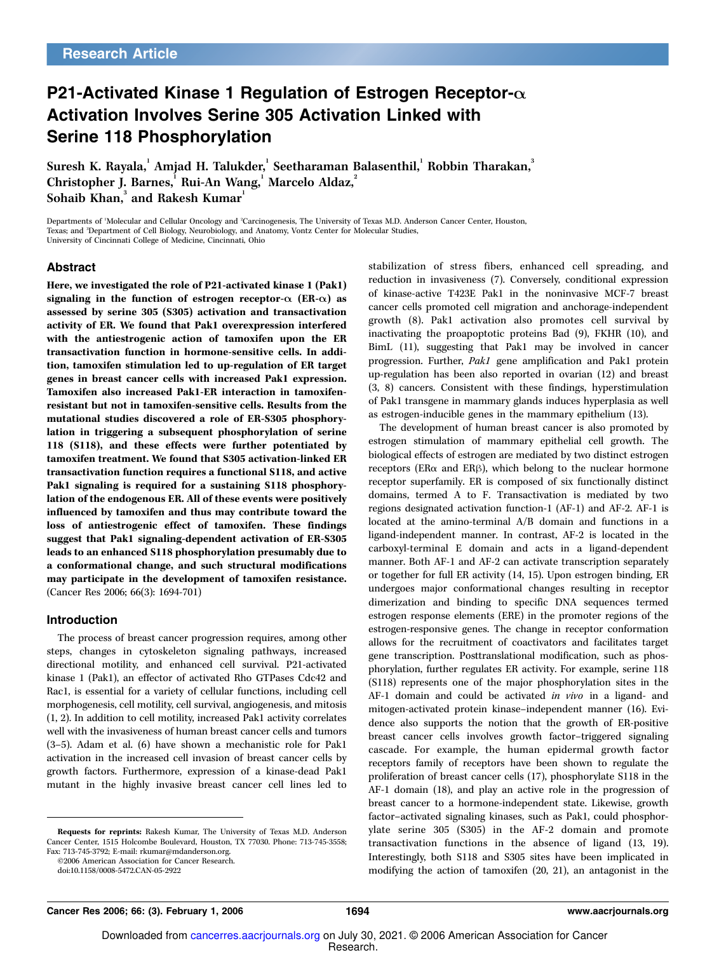# P21-Activated Kinase 1 Regulation of Estrogen Receptor- $\alpha$ Activation Involves Serine 305 Activation Linked with Serine 118 Phosphorylation

Suresh K. Rayala, $^{\rm l}$  Amjad H. Talukder, $^{\rm l}$  Seetharaman Balasenthil, $^{\rm l}$  Robbin Tharakan, $^{\rm 3}$ Christopher J. Barnes, Rui-An Wang, Marcelo Aldaz, Sohaib Khan, $^3$  and Rakesh Kumar $^1$ 

Departments of <sup>1</sup>Molecular and Cellular Oncology and <sup>2</sup>Carcinogenesis, The University of Texas M.D. Anderson Cancer Center, Houston, Texas; and <sup>3</sup>Department of Cell Biology, Neurobiology, and Anatomy, Vontz Center for Molecular Studies, University of Cincinnati College of Medicine, Cincinnati, Ohio

### Abstract

Here, we investigated the role of P21-activated kinase 1 (Pak1) signaling in the function of estrogen receptor- $\alpha$  (ER- $\alpha$ ) as assessed by serine 305 (S305) activation and transactivation activity of ER. We found that Pak1 overexpression interfered with the antiestrogenic action of tamoxifen upon the ER transactivation function in hormone-sensitive cells. In addition, tamoxifen stimulation led to up-regulation of ER target genes in breast cancer cells with increased Pak1 expression. Tamoxifen also increased Pak1-ER interaction in tamoxifenresistant but not in tamoxifen-sensitive cells. Results from the mutational studies discovered a role of ER-S305 phosphorylation in triggering a subsequent phosphorylation of serine 118 (S118), and these effects were further potentiated by tamoxifen treatment. We found that S305 activation-linked ER transactivation function requires a functional S118, and active Pak1 signaling is required for a sustaining S118 phosphorylation of the endogenous ER. All of these events were positively influenced by tamoxifen and thus may contribute toward the loss of antiestrogenic effect of tamoxifen. These findings suggest that Pak1 signaling-dependent activation of ER-S305 leads to an enhanced S118 phosphorylation presumably due to a conformational change, and such structural modifications may participate in the development of tamoxifen resistance. (Cancer Res 2006; 66(3): 1694-701)

#### Introduction

The process of breast cancer progression requires, among other steps, changes in cytoskeleton signaling pathways, increased directional motility, and enhanced cell survival. P21-activated kinase 1 (Pak1), an effector of activated Rho GTPases Cdc42 and Rac1, is essential for a variety of cellular functions, including cell morphogenesis, cell motility, cell survival, angiogenesis, and mitosis (1, 2). In addition to cell motility, increased Pak1 activity correlates well with the invasiveness of human breast cancer cells and tumors (3–5). Adam et al. (6) have shown a mechanistic role for Pak1 activation in the increased cell invasion of breast cancer cells by growth factors. Furthermore, expression of a kinase-dead Pak1 mutant in the highly invasive breast cancer cell lines led to

©2006 American Association for Cancer Research.

stabilization of stress fibers, enhanced cell spreading, and reduction in invasiveness (7). Conversely, conditional expression of kinase-active T423E Pak1 in the noninvasive MCF-7 breast cancer cells promoted cell migration and anchorage-independent growth (8). Pak1 activation also promotes cell survival by inactivating the proapoptotic proteins Bad (9), FKHR (10), and BimL (11), suggesting that Pak1 may be involved in cancer progression. Further, Pak1 gene amplification and Pak1 protein up-regulation has been also reported in ovarian (12) and breast (3, 8) cancers. Consistent with these findings, hyperstimulation of Pak1 transgene in mammary glands induces hyperplasia as well as estrogen-inducible genes in the mammary epithelium (13).

The development of human breast cancer is also promoted by estrogen stimulation of mammary epithelial cell growth. The biological effects of estrogen are mediated by two distinct estrogen receptors (ER $\alpha$  and ER $\beta$ ), which belong to the nuclear hormone receptor superfamily. ER is composed of six functionally distinct domains, termed A to F. Transactivation is mediated by two regions designated activation function-1 (AF-1) and AF-2. AF-1 is located at the amino-terminal A/B domain and functions in a ligand-independent manner. In contrast, AF-2 is located in the carboxyl-terminal E domain and acts in a ligand-dependent manner. Both AF-1 and AF-2 can activate transcription separately or together for full ER activity (14, 15). Upon estrogen binding, ER undergoes major conformational changes resulting in receptor dimerization and binding to specific DNA sequences termed estrogen response elements (ERE) in the promoter regions of the estrogen-responsive genes. The change in receptor conformation allows for the recruitment of coactivators and facilitates target gene transcription. Posttranslational modification, such as phosphorylation, further regulates ER activity. For example, serine 118 (S118) represents one of the major phosphorylation sites in the AF-1 domain and could be activated in vivo in a ligand- and mitogen-activated protein kinase–independent manner (16). Evidence also supports the notion that the growth of ER-positive breast cancer cells involves growth factor–triggered signaling cascade. For example, the human epidermal growth factor receptors family of receptors have been shown to regulate the proliferation of breast cancer cells (17), phosphorylate S118 in the AF-1 domain (18), and play an active role in the progression of breast cancer to a hormone-independent state. Likewise, growth factor–activated signaling kinases, such as Pak1, could phosphorylate serine 305 (S305) in the AF-2 domain and promote transactivation functions in the absence of ligand (13, 19). Interestingly, both S118 and S305 sites have been implicated in modifying the action of tamoxifen (20, 21), an antagonist in the

Requests for reprints: Rakesh Kumar, The University of Texas M.D. Anderson Cancer Center, 1515 Holcombe Boulevard, Houston, TX 77030. Phone: 713-745-3558; Fax: 713-745-3792; E-mail: rkumar@mdanderson.org.

doi:10.1158/0008-5472.CAN-05-2922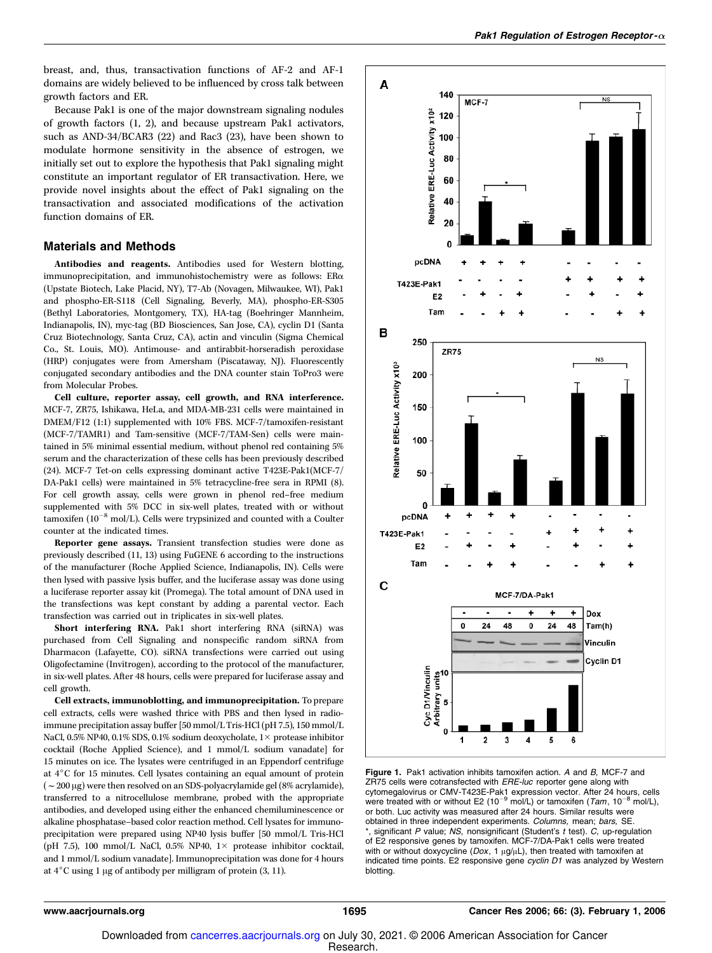breast, and, thus, transactivation functions of AF-2 and AF-1 domains are widely believed to be influenced by cross talk between growth factors and ER.

Because Pak1 is one of the major downstream signaling nodules of growth factors (1, 2), and because upstream Pak1 activators, such as AND-34/BCAR3 (22) and Rac3 (23), have been shown to modulate hormone sensitivity in the absence of estrogen, we initially set out to explore the hypothesis that Pak1 signaling might constitute an important regulator of ER transactivation. Here, we provide novel insights about the effect of Pak1 signaling on the transactivation and associated modifications of the activation function domains of ER.

## Materials and Methods

Antibodies and reagents. Antibodies used for Western blotting, immunoprecipitation, and immunohistochemistry were as follows: ERa (Upstate Biotech, Lake Placid, NY), T7-Ab (Novagen, Milwaukee, WI), Pak1 and phospho-ER-S118 (Cell Signaling, Beverly, MA), phospho-ER-S305 (Bethyl Laboratories, Montgomery, TX), HA-tag (Boehringer Mannheim, Indianapolis, IN), myc-tag (BD Biosciences, San Jose, CA), cyclin D1 (Santa Cruz Biotechnology, Santa Cruz, CA), actin and vinculin (Sigma Chemical Co., St. Louis, MO). Antimouse- and antirabbit-horseradish peroxidase (HRP) conjugates were from Amersham (Piscataway, NJ). Fluorescently conjugated secondary antibodies and the DNA counter stain ToPro3 were from Molecular Probes.

Cell culture, reporter assay, cell growth, and RNA interference. MCF-7, ZR75, Ishikawa, HeLa, and MDA-MB-231 cells were maintained in DMEM/F12 (1:1) supplemented with 10% FBS. MCF-7/tamoxifen-resistant (MCF-7/TAMR1) and Tam-sensitive (MCF-7/TAM-Sen) cells were maintained in 5% minimal essential medium, without phenol red containing 5% serum and the characterization of these cells has been previously described (24). MCF-7 Tet-on cells expressing dominant active T423E-Pak1(MCF-7/ DA-Pak1 cells) were maintained in 5% tetracycline-free sera in RPMI (8). For cell growth assay, cells were grown in phenol red–free medium supplemented with 5% DCC in six-well plates, treated with or without tamoxifen (10 $^{-8}$  mol/L). Cells were trypsinized and counted with a Coulter counter at the indicated times.

Reporter gene assays. Transient transfection studies were done as previously described (11, 13) using FuGENE 6 according to the instructions of the manufacturer (Roche Applied Science, Indianapolis, IN). Cells were then lysed with passive lysis buffer, and the luciferase assay was done using a luciferase reporter assay kit (Promega). The total amount of DNA used in the transfections was kept constant by adding a parental vector. Each transfection was carried out in triplicates in six-well plates.

Short interfering RNA. Pak1 short interfering RNA (siRNA) was purchased from Cell Signaling and nonspecific random siRNA from Dharmacon (Lafayette, CO). siRNA transfections were carried out using Oligofectamine (Invitrogen), according to the protocol of the manufacturer, in six-well plates. After 48 hours, cells were prepared for luciferase assay and cell growth.

Cell extracts, immunoblotting, and immunoprecipitation. To prepare cell extracts, cells were washed thrice with PBS and then lysed in radioimmune precipitation assay buffer [50 mmol/L Tris-HCl (pH 7.5), 150 mmol/L NaCl, 0.5% NP40, 0.1% SDS, 0.1% sodium deoxycholate,  $1\times$  protease inhibitor cocktail (Roche Applied Science), and 1 mmol/L sodium vanadate] for 15 minutes on ice. The lysates were centrifuged in an Eppendorf centrifuge at 4°C for 15 minutes. Cell lysates containing an equal amount of protein  $(-200 \mu g)$  were then resolved on an SDS-polyacrylamide gel (8% acrylamide), transferred to a nitrocellulose membrane, probed with the appropriate antibodies, and developed using either the enhanced chemiluminescence or alkaline phosphatase–based color reaction method. Cell lysates for immunoprecipitation were prepared using NP40 lysis buffer [50 mmol/L Tris-HCl (pH 7.5), 100 mmol/L NaCl, 0.5% NP40,  $1 \times$  protease inhibitor cocktail, and 1 mmol/L sodium vanadate]. Immunoprecipitation was done for 4 hours at  $4^{\circ}$ C using 1 µg of antibody per milligram of protein (3, 11).



Figure 1. Pak1 activation inhibits tamoxifen action. A and B, MCF-7 and ZR75 cells were cotransfected with *ERE-luc* reporter gene along with cytomegalovirus or CMV-T423E-Pak1 expression vector. After 24 hours, cells were treated with or without E2 (10<sup>-9</sup> mol/L) or tamoxifen (*Tam*, 10<sup>-8</sup> mol/L), or both. Luc activity was measured after 24 hours. Similar results were obtained in three independent experiments. Columns, mean; bars, SE. significant P value;  $NS$ , nonsignificant (Student's  $t$  test).  $C$ , up-regulation of E2 responsive genes by tamoxifen. MCF-7/DA-Pak1 cells were treated with or without doxycycline ( $Dox$ , 1  $\mu$ g/ $\mu$ L), then treated with tamoxifen at indicated time points. E2 responsive gene cyclin D1 was analyzed by Western blotting.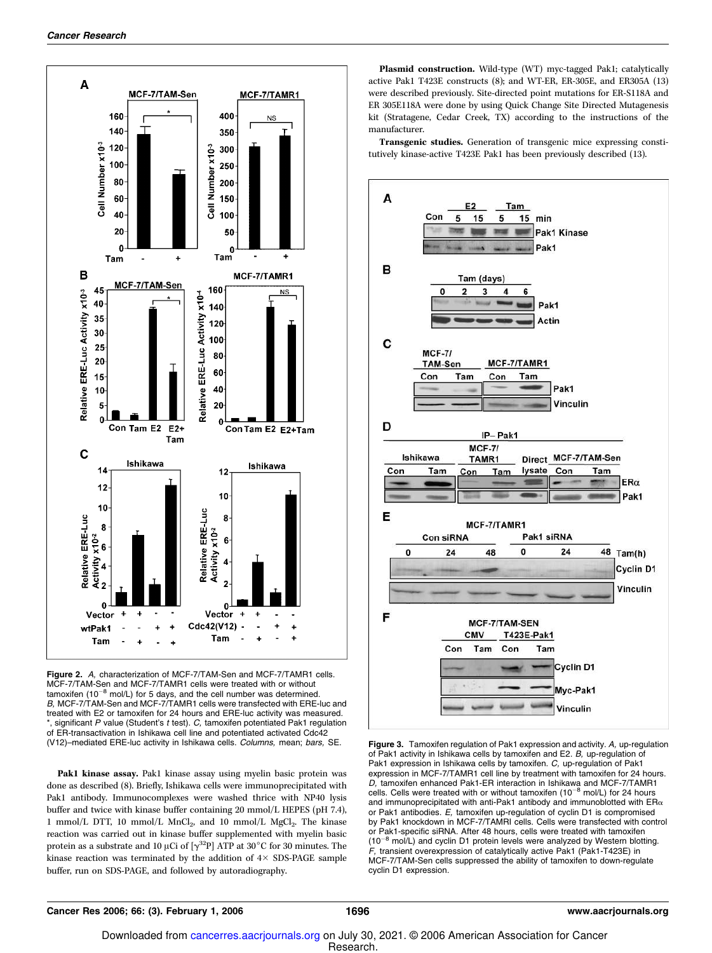

Figure 2. A. characterization of MCF-7/TAM-Sen and MCF-7/TAMR1 cells. MCF-7/TAM-Sen and MCF-7/TAMR1 cells were treated with or without  $tanh 10^{-8}$  mol/L) for 5 days, and the cell number was determined. B, MCF-7/TAM-Sen and MCF-7/TAMR1 cells were transfected with ERE-luc and treated with E2 or tamoxifen for 24 hours and ERE-luc activity was measured.  $*$ , significant P value (Student's  $t$  test).  $C$ , tamoxifen potentiated Pak1 regulation of ER-transactivation in Ishikawa cell line and potentiated activated Cdc42 (V12)-mediated ERE-luc activity in Ishikawa cells. Columns, mean; bars, SE.

Pak1 kinase assay. Pak1 kinase assay using myelin basic protein was done as described (8). Briefly, Ishikawa cells were immunoprecipitated with Pak1 antibody. Immunocomplexes were washed thrice with NP40 lysis buffer and twice with kinase buffer containing 20 mmol/L HEPES (pH 7.4), 1 mmol/L DTT, 10 mmol/L MnCl<sub>2</sub>, and 10 mmol/L MgCl<sub>2</sub>. The kinase reaction was carried out in kinase buffer supplemented with myelin basic protein as a substrate and 10 µCi of  $[\gamma^{32}P]$  ATP at 30 $^{\circ}$ C for 30 minutes. The kinase reaction was terminated by the addition of  $4 \times$  SDS-PAGE sample buffer, run on SDS-PAGE, and followed by autoradiography.

Plasmid construction. Wild-type (WT) myc-tagged Pak1; catalytically active Pak1 T423E constructs (8); and WT-ER, ER-305E, and ER305A (13) were described previously. Site-directed point mutations for ER-S118A and ER 305E118A were done by using Quick Change Site Directed Mutagenesis kit (Stratagene, Cedar Creek, TX) according to the instructions of the manufacturer.

Transgenic studies. Generation of transgenic mice expressing constitutively kinase-active T423E Pak1 has been previously described (13).



Figure 3. Tamoxifen regulation of Pak1 expression and activity. A, up-regulation of Pak1 activity in Ishikawa cells by tamoxifen and E2. B, up-regulation of Pak1 expression in Ishikawa cells by tamoxifen. C, up-regulation of Pak1 expression in MCF-7/TAMR1 cell line by treatment with tamoxifen for 24 hours. *D,* tamoxifen enhanced Pak1-ER interaction in Ishikawa and MCF-7/TAMR1<br>cells. Cells were treated with or without tamoxifen (10<sup>–8</sup> mol/L) for 24 hours and immunoprecipitated with anti-Pak1 antibody and immunoblotted with  $\textsf{ER}_\alpha$ or Pak1 antibodies. E, tamoxifen up-regulation of cyclin D1 is compromised by Pak1 knockdown in MCF-7/TAMRI cells. Cells were transfected with control or Pak1-specific siRNA. After 48 hours, cells were treated with tamoxifen  $(10^{-8}$  mol/L) and cyclin D1 protein levels were analyzed by Western blotting. F, transient overexpression of catalytically active Pak1 (Pak1-T423E) in MCF-7/TAM-Sen cells suppressed the ability of tamoxifen to down-regulate cyclin D1 expression.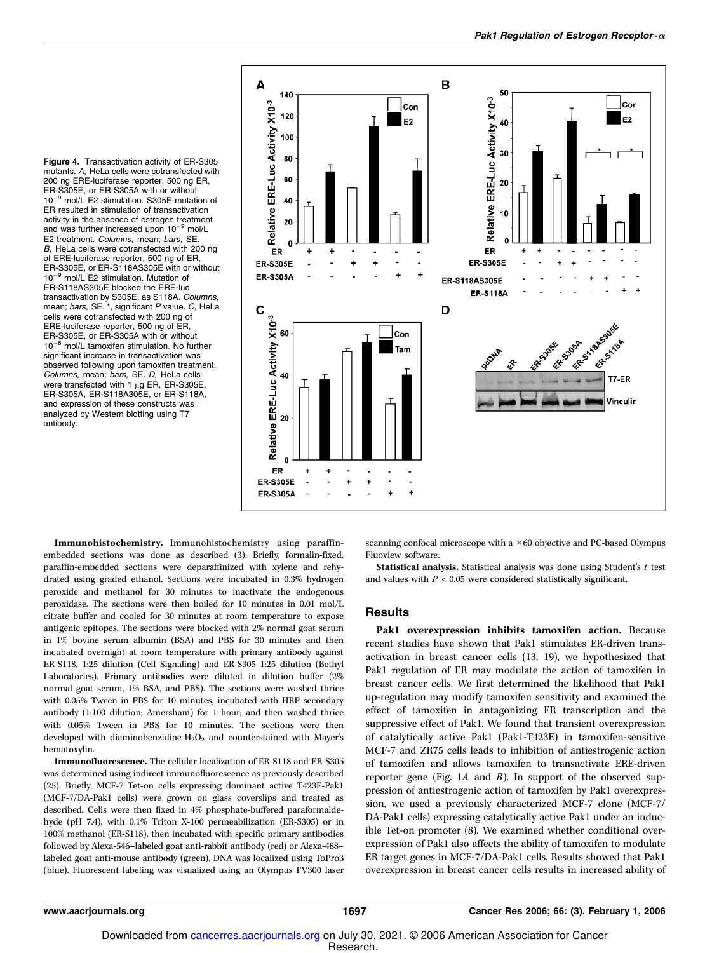Figure 4. Transactivation activity of ER-S305 mutants. A, HeLa cells were cotransfected with 200 ng ERE-luciferase reporter, 500 ng ER, ER-S305E, or ER-S305A with or without  $10^{-9}$  mol/L E2 stimulation. S305E mutation of ER resulted in stimulation of transactivation activity in the absence of estrogen treatment and was further increased upon  $10^{-9}$  mol/L E2 treatment. Columns, mean; bars, SE. B, HeLa cells were cotransfected with 200 ng of ERE-luciferase reporter, 500 ng of ER, ER-S305E, or ER-S118AS305E with or without  $10^{-9}$  mol/L E2 stimulation. Mutation of ER-S118AS305E blocked the ERE-luc transactivation by S305E, as S118A. Columns, mean; bars, SE. \*, significant P value. C, HeLa cells were cotransfected with 200 ng of ERE-luciferase reporter, 500 ng of ER, ER-S305E, or ER-S305A with or without  $10^{-8}$  mol/L tamoxifen stimulation. No further significant increase in transactivation was observed following upon tamoxifen treatment. Columns, mean; bars, SE. D, HeLa cells were transfected with 1  $\mu$ g ER, ER-S305E ER-S305A, ER-S118A305E, or ER-S118A, and expression of these constructs was analyzed by Western blotting using T7 antibody.



Immunohistochemistry. Immunohistochemistry using paraffinembedded sections was done as described (3). Briefly, formalin-fixed, paraffin-embedded sections were deparaffinized with xylene and rehydrated using graded ethanol. Sections were incubated in 0.3% hydrogen peroxide and methanol for 30 minutes to inactivate the endogenous peroxidase. The sections were then boiled for 10 minutes in 0.01 mol/L citrate buffer and cooled for 30 minutes at room temperature to expose antigenic epitopes. The sections were blocked with 2% normal goat serum in 1% bovine serum albumin (BSA) and PBS for 30 minutes and then incubated overnight at room temperature with primary antibody against ER-S118, 1:25 dilution (Cell Signaling) and ER-S305 1:25 dilution (Bethyl Laboratories). Primary antibodies were diluted in dilution buffer (2% normal goat serum, 1% BSA, and PBS). The sections were washed thrice with 0.05% Tween in PBS for 10 minutes, incubated with HRP secondary antibody (1:100 dilution; Amersham) for 1 hour; and then washed thrice with 0.05% Tween in PBS for 10 minutes. The sections were then developed with diaminobenzidine- $H_2O_2$  and counterstained with Mayer's hematoxylin.

Immunofluorescence. The cellular localization of ER-S118 and ER-S305 was determined using indirect immunofluorescence as previously described (25). Briefly, MCF-7 Tet-on cells expressing dominant active T423E-Pak1 (MCF-7/DA-Pak1 cells) were grown on glass coverslips and treated as described. Cells were then fixed in 4% phosphate-buffered paraformaldehyde (pH 7.4), with 0.1% Triton X-100 permeabilization (ER-S305) or in 100% methanol (ER-S118), then incubated with specific primary antibodies followed by Alexa-546–labeled goat anti-rabbit antibody (red) or Alexa-488– labeled goat anti-mouse antibody (green). DNA was localized using ToPro3 (blue). Fluorescent labeling was visualized using an Olympus FV300 laser

scanning confocal microscope with a  $\times$  60 objective and PC-based Olympus Fluoview software.

Statistical analysis. Statistical analysis was done using Student's  $t$  test and values with  $P < 0.05$  were considered statistically significant.

#### Results

Pak1 overexpression inhibits tamoxifen action. Because recent studies have shown that Pak1 stimulates ER-driven transactivation in breast cancer cells (13, 19), we hypothesized that Pak1 regulation of ER may modulate the action of tamoxifen in breast cancer cells. We first determined the likelihood that Pak1 up-regulation may modify tamoxifen sensitivity and examined the effect of tamoxifen in antagonizing ER transcription and the suppressive effect of Pak1. We found that transient overexpression of catalytically active Pak1 (Pak1-T423E) in tamoxifen-sensitive MCF-7 and ZR75 cells leads to inhibition of antiestrogenic action of tamoxifen and allows tamoxifen to transactivate ERE-driven reporter gene (Fig. 1A and  $B$ ). In support of the observed suppression of antiestrogenic action of tamoxifen by Pak1 overexpression, we used a previously characterized MCF-7 clone (MCF-7/ DA-Pak1 cells) expressing catalytically active Pak1 under an inducible Tet-on promoter (8). We examined whether conditional overexpression of Pak1 also affects the ability of tamoxifen to modulate ER target genes in MCF-7/DA-Pak1 cells. Results showed that Pak1 overexpression in breast cancer cells results in increased ability of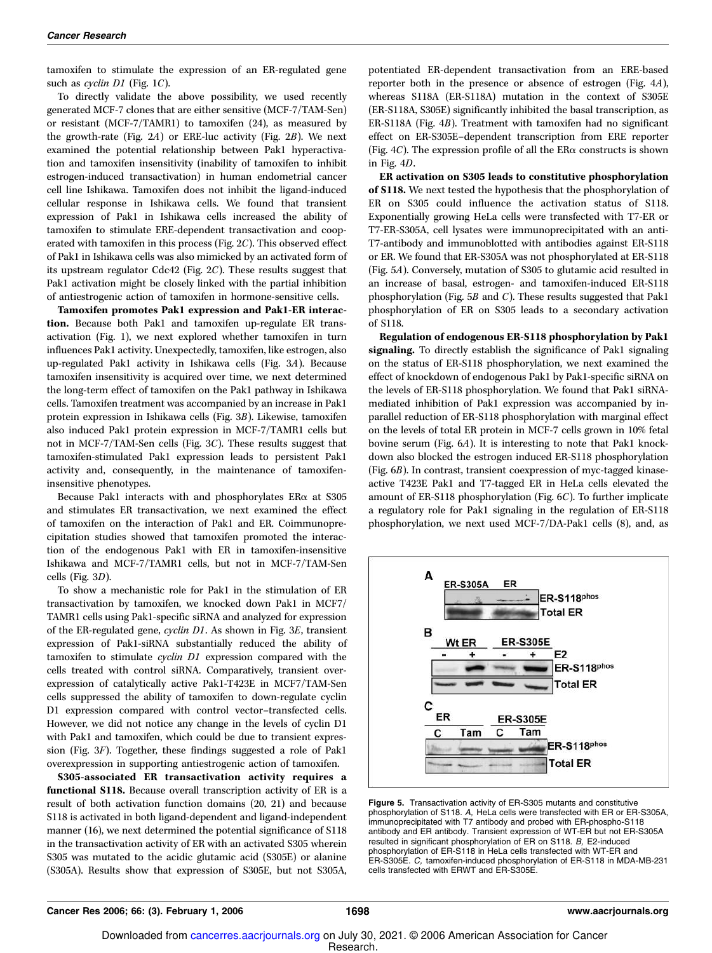tamoxifen to stimulate the expression of an ER-regulated gene such as *cyclin D1* (Fig. 1C).

To directly validate the above possibility, we used recently generated MCF-7 clones that are either sensitive (MCF-7/TAM-Sen) or resistant (MCF-7/TAMR1) to tamoxifen (24), as measured by the growth-rate (Fig.  $2A$ ) or ERE-luc activity (Fig.  $2B$ ). We next examined the potential relationship between Pak1 hyperactivation and tamoxifen insensitivity (inability of tamoxifen to inhibit estrogen-induced transactivation) in human endometrial cancer cell line Ishikawa. Tamoxifen does not inhibit the ligand-induced cellular response in Ishikawa cells. We found that transient expression of Pak1 in Ishikawa cells increased the ability of tamoxifen to stimulate ERE-dependent transactivation and cooperated with tamoxifen in this process (Fig. 2C). This observed effect of Pak1 in Ishikawa cells was also mimicked by an activated form of its upstream regulator Cdc42 (Fig. 2C). These results suggest that Pak1 activation might be closely linked with the partial inhibition of antiestrogenic action of tamoxifen in hormone-sensitive cells.

Tamoxifen promotes Pak1 expression and Pak1-ER interaction. Because both Pak1 and tamoxifen up-regulate ER transactivation (Fig. 1), we next explored whether tamoxifen in turn influences Pak1 activity. Unexpectedly, tamoxifen, like estrogen, also up-regulated Pak1 activity in Ishikawa cells (Fig. 3A). Because tamoxifen insensitivity is acquired over time, we next determined the long-term effect of tamoxifen on the Pak1 pathway in Ishikawa cells. Tamoxifen treatment was accompanied by an increase in Pak1 protein expression in Ishikawa cells (Fig. 3B). Likewise, tamoxifen also induced Pak1 protein expression in MCF-7/TAMR1 cells but not in MCF-7/TAM-Sen cells (Fig. 3C). These results suggest that tamoxifen-stimulated Pak1 expression leads to persistent Pak1 activity and, consequently, in the maintenance of tamoxifeninsensitive phenotypes.

Because Pak1 interacts with and phosphorylates  $ER\alpha$  at S305 and stimulates ER transactivation, we next examined the effect of tamoxifen on the interaction of Pak1 and ER. Coimmunoprecipitation studies showed that tamoxifen promoted the interaction of the endogenous Pak1 with ER in tamoxifen-insensitive Ishikawa and MCF-7/TAMR1 cells, but not in MCF-7/TAM-Sen cells (Fig. 3D).

To show a mechanistic role for Pak1 in the stimulation of ER transactivation by tamoxifen, we knocked down Pak1 in MCF7/ TAMR1 cells using Pak1-specific siRNA and analyzed for expression of the ER-regulated gene, cyclin D1. As shown in Fig. 3E, transient expression of Pak1-siRNA substantially reduced the ability of tamoxifen to stimulate cyclin D1 expression compared with the cells treated with control siRNA. Comparatively, transient overexpression of catalytically active Pak1-T423E in MCF7/TAM-Sen cells suppressed the ability of tamoxifen to down-regulate cyclin D1 expression compared with control vector–transfected cells. However, we did not notice any change in the levels of cyclin D1 with Pak1 and tamoxifen, which could be due to transient expression (Fig. 3F). Together, these findings suggested a role of Pak1 overexpression in supporting antiestrogenic action of tamoxifen.

S305-associated ER transactivation activity requires a functional S118. Because overall transcription activity of ER is a result of both activation function domains (20, 21) and because S118 is activated in both ligand-dependent and ligand-independent manner (16), we next determined the potential significance of S118 in the transactivation activity of ER with an activated S305 wherein S305 was mutated to the acidic glutamic acid (S305E) or alanine (S305A). Results show that expression of S305E, but not S305A, potentiated ER-dependent transactivation from an ERE-based reporter both in the presence or absence of estrogen (Fig. 4A), whereas S118A (ER-S118A) mutation in the context of S305E (ER-S118A, S305E) significantly inhibited the basal transcription, as ER-S118A (Fig. 4B). Treatment with tamoxifen had no significant effect on ER-S305E–dependent transcription from ERE reporter (Fig. 4C). The expression profile of all the ER $\alpha$  constructs is shown in Fig. 4D.

ER activation on S305 leads to constitutive phosphorylation of S118. We next tested the hypothesis that the phosphorylation of ER on S305 could influence the activation status of S118. Exponentially growing HeLa cells were transfected with T7-ER or T7-ER-S305A, cell lysates were immunoprecipitated with an anti-T7-antibody and immunoblotted with antibodies against ER-S118 or ER. We found that ER-S305A was not phosphorylated at ER-S118 (Fig. 5A). Conversely, mutation of S305 to glutamic acid resulted in an increase of basal, estrogen- and tamoxifen-induced ER-S118 phosphorylation (Fig. 5B and C). These results suggested that Pak1 phosphorylation of ER on S305 leads to a secondary activation of S118.

Regulation of endogenous ER-S118 phosphorylation by Pak1 signaling. To directly establish the significance of Pak1 signaling on the status of ER-S118 phosphorylation, we next examined the effect of knockdown of endogenous Pak1 by Pak1-specific siRNA on the levels of ER-S118 phosphorylation. We found that Pak1 siRNAmediated inhibition of Pak1 expression was accompanied by inparallel reduction of ER-S118 phosphorylation with marginal effect on the levels of total ER protein in MCF-7 cells grown in 10% fetal bovine serum (Fig. 6A). It is interesting to note that Pak1 knockdown also blocked the estrogen induced ER-S118 phosphorylation (Fig. 6B). In contrast, transient coexpression of myc-tagged kinaseactive T423E Pak1 and T7-tagged ER in HeLa cells elevated the amount of ER-S118 phosphorylation (Fig. 6C). To further implicate a regulatory role for Pak1 signaling in the regulation of ER-S118 phosphorylation, we next used MCF-7/DA-Pak1 cells (8), and, as



Figure 5. Transactivation activity of ER-S305 mutants and constitutive phosphorylation of S118. A, HeLa cells were transfected with ER or ER-S305A, immunoprecipitated with T7 antibody and probed with ER-phospho-S118 antibody and ER antibody. Transient expression of WT-ER but not ER-S305A resulted in significant phosphorylation of ER on S118. B, E2-induced phosphorylation of ER-S118 in HeLa cells transfected with WT-ER and ER-S305E. C, tamoxifen-induced phosphorylation of ER-S118 in MDA-MB-231 cells transfected with ERWT and ER-S305E.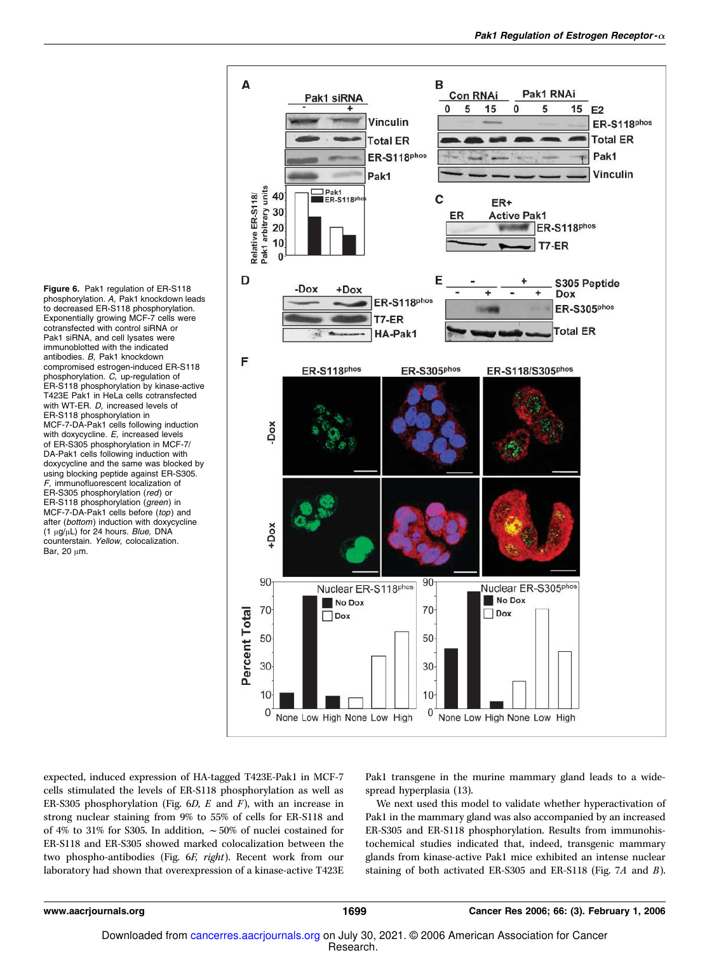Figure 6. Pak1 regulation of ER-S118 phosphorylation. A, Pak1 knockdown leads to decreased ER-S118 phosphorylation. Exponentially growing MCF-7 cells were cotransfected with control siRNA or Pak1 siRNA, and cell lysates were immunoblotted with the indicated antibodies. B, Pak1 knockdown compromised estrogen-induced ER-S118 phosphorylation. C, up-regulation of ER-S118 phosphorylation by kinase-active T423E Pak1 in HeLa cells cotransfected with WT-ER. D, increased levels of ER-S118 phosphorylation in MCF-7-DA-Pak1 cells following induction with doxycycline. E, increased levels of ER-S305 phosphorylation in MCF-7/ DA-Pak1 cells following induction with doxycycline and the same was blocked by using blocking peptide against ER-S305. F, immunofluorescent localization of ER-S305 phosphorylation (red) or ER-S118 phosphorylation (green) in MCF-7-DA-Pak1 cells before (top) and after (bottom) induction with doxycycline (1  $\mu$ g/ $\mu$ L) for 24 hours. Blue, DNA counterstain. Yellow, colocalization. Bar, 20  $\mu$ m.



expected, induced expression of HA-tagged T423E-Pak1 in MCF-7 cells stimulated the levels of ER-S118 phosphorylation as well as ER-S305 phosphorylation (Fig.  $6D$ , E and F), with an increase in strong nuclear staining from 9% to 55% of cells for ER-S118 and of 4% to 31% for S305. In addition,  $\sim$  50% of nuclei costained for ER-S118 and ER-S305 showed marked colocalization between the two phospho-antibodies (Fig. 6F, right). Recent work from our laboratory had shown that overexpression of a kinase-active T423E Pak1 transgene in the murine mammary gland leads to a widespread hyperplasia (13).

We next used this model to validate whether hyperactivation of Pak1 in the mammary gland was also accompanied by an increased ER-S305 and ER-S118 phosphorylation. Results from immunohistochemical studies indicated that, indeed, transgenic mammary glands from kinase-active Pak1 mice exhibited an intense nuclear staining of both activated ER-S305 and ER-S118 (Fig. 7A and B).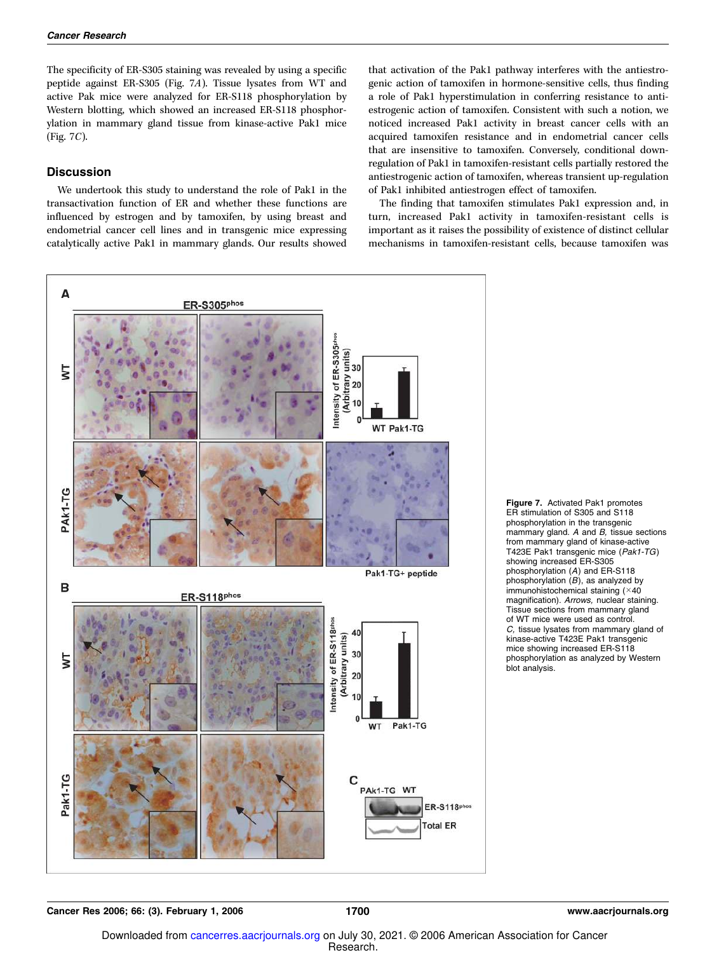The specificity of ER-S305 staining was revealed by using a specific peptide against ER-S305 (Fig. 7A). Tissue lysates from WT and active Pak mice were analyzed for ER-S118 phosphorylation by Western blotting, which showed an increased ER-S118 phosphorylation in mammary gland tissue from kinase-active Pak1 mice (Fig. 7C).

### **Discussion**

We undertook this study to understand the role of Pak1 in the transactivation function of ER and whether these functions are influenced by estrogen and by tamoxifen, by using breast and endometrial cancer cell lines and in transgenic mice expressing catalytically active Pak1 in mammary glands. Our results showed

that activation of the Pak1 pathway interferes with the antiestrogenic action of tamoxifen in hormone-sensitive cells, thus finding a role of Pak1 hyperstimulation in conferring resistance to antiestrogenic action of tamoxifen. Consistent with such a notion, we noticed increased Pak1 activity in breast cancer cells with an acquired tamoxifen resistance and in endometrial cancer cells that are insensitive to tamoxifen. Conversely, conditional downregulation of Pak1 in tamoxifen-resistant cells partially restored the antiestrogenic action of tamoxifen, whereas transient up-regulation of Pak1 inhibited antiestrogen effect of tamoxifen.

The finding that tamoxifen stimulates Pak1 expression and, in turn, increased Pak1 activity in tamoxifen-resistant cells is important as it raises the possibility of existence of distinct cellular mechanisms in tamoxifen-resistant cells, because tamoxifen was



Figure 7. Activated Pak1 promotes ER stimulation of S305 and S118 phosphorylation in the transgenic mammary gland.  $A$  and  $B$ , tissue sections from mammary gland of kinase-active T423E Pak1 transgenic mice (Pak1-TG) showing increased ER-S305 phosphorylation (A) and ER-S118 phosphorylation  $(B)$ , as analyzed by immunohistochemical staining (×40 magnification). Arrows, nuclear staining. Tissue sections from mammary gland of WT mice were used as control. C, tissue lysates from mammary gland of kinase-active T423E Pak1 transgenic mice showing increased ER-S118 phosphorylation as analyzed by Western blot analysis.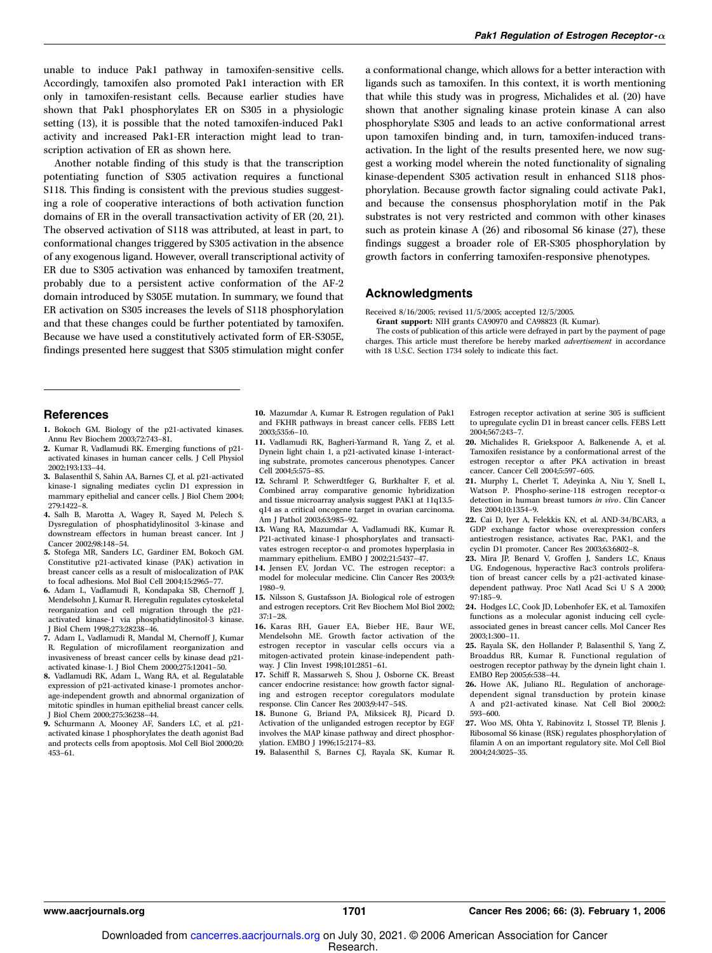Another notable finding of this study is that the transcription potentiating function of S305 activation requires a functional S118. This finding is consistent with the previous studies suggesting a role of cooperative interactions of both activation function domains of ER in the overall transactivation activity of ER (20, 21). The observed activation of S118 was attributed, at least in part, to conformational changes triggered by S305 activation in the absence of any exogenous ligand. However, overall transcriptional activity of ER due to S305 activation was enhanced by tamoxifen treatment, probably due to a persistent active conformation of the AF-2 domain introduced by S305E mutation. In summary, we found that ER activation on S305 increases the levels of S118 phosphorylation and that these changes could be further potentiated by tamoxifen. Because we have used a constitutively activated form of ER-S305E, findings presented here suggest that S305 stimulation might confer

a conformational change, which allows for a better interaction with ligands such as tamoxifen. In this context, it is worth mentioning that while this study was in progress, Michalides et al. (20) have shown that another signaling kinase protein kinase A can also phosphorylate S305 and leads to an active conformational arrest upon tamoxifen binding and, in turn, tamoxifen-induced transactivation. In the light of the results presented here, we now suggest a working model wherein the noted functionality of signaling kinase-dependent S305 activation result in enhanced S118 phosphorylation. Because growth factor signaling could activate Pak1, and because the consensus phosphorylation motif in the Pak substrates is not very restricted and common with other kinases such as protein kinase A (26) and ribosomal S6 kinase (27), these findings suggest a broader role of ER-S305 phosphorylation by growth factors in conferring tamoxifen-responsive phenotypes.

#### Acknowledgments

Received 8/16/2005; revised 11/5/2005; accepted 12/5/2005.

Grant support: NIH grants CA90970 and CA98823 (R. Kumar). The costs of publication of this article were defrayed in part by the payment of page charges. This article must therefore be hereby marked advertisement in accordance with 18 U.S.C. Section 1734 solely to indicate this fact.

#### References

- 1. Bokoch GM. Biology of the p21-activated kinases. Annu Rev Biochem 2003;72:743–81.
- 2. Kumar R, Vadlamudi RK. Emerging functions of p21 activated kinases in human cancer cells. J Cell Physiol 2002;193:133–44.
- 3. Balasenthil S, Sahin AA, Barnes CJ, et al. p21-activated kinase-1 signaling mediates cyclin D1 expression in mammary epithelial and cancer cells. J Biol Chem 2004; 279:1422–8.
- 4. Salh B, Marotta A, Wagey R, Sayed M, Pelech S. Dysregulation of phosphatidylinositol 3-kinase and downstream effectors in human breast cancer. Int J Cancer 2002;98:148–54.
- 5. Stofega MR, Sanders LC, Gardiner EM, Bokoch GM. Constitutive p21-activated kinase (PAK) activation in breast cancer cells as a result of mislocalization of PAK to focal adhesions. Mol Biol Cell 2004;15:2965–77.
- 6. Adam L, Vadlamudi R, Kondapaka SB, Chernoff J, Mendelsohn J, Kumar R. Heregulin regulates cytoskeletal reorganization and cell migration through the p21 activated kinase-1 via phosphatidylinositol-3 kinase. J Biol Chem 1998;273:28238–46.
- 7. Adam L, Vadlamudi R, Mandal M, Chernoff J, Kumar R. Regulation of microfilament reorganization and invasiveness of breast cancer cells by kinase dead p21 activated kinase-1. J Biol Chem 2000;275:12041–50.
- 8. Vadlamudi RK, Adam L, Wang RA, et al. Regulatable expression of p21-activated kinase-1 promotes anchorage-independent growth and abnormal organization of mitotic spindles in human epithelial breast cancer cells. J Biol Chem 2000;275:36238–44.
- 9. Schurmann A, Mooney AF, Sanders LC, et al. p21 activated kinase 1 phosphorylates the death agonist Bad and protects cells from apoptosis. Mol Cell Biol 2000;20: 453–61.
- 10. Mazumdar A, Kumar R. Estrogen regulation of Pak1 and FKHR pathways in breast cancer cells. FEBS Lett 2003;535:6–10.
- 11. Vadlamudi RK, Bagheri-Yarmand R, Yang Z, et al. Dynein light chain 1, a p21-activated kinase 1-interacting substrate, promotes cancerous phenotypes. Cancer Cell 2004;5:575–85.
- 12. Schraml P, Schwerdtfeger G, Burkhalter F, et al. Combined array comparative genomic hybridization and tissue microarray analysis suggest PAK1 at 11q13.5 q14 as a critical oncogene target in ovarian carcinoma. Am J Pathol 2003;63:985–92.
- 13. Wang RA, Mazumdar A, Vadlamudi RK, Kumar R. P21-activated kinase-1 phosphorylates and transactivates estrogen receptor- $\alpha$  and promotes hyperplasia in mammary epithelium. EMBO J 2002;21:5437–47.
- 14. Jensen EV, Jordan VC. The estrogen receptor: a model for molecular medicine. Clin Cancer Res 2003;9: 1980–9.
- 15. Nilsson S, Gustafsson JA. Biological role of estrogen and estrogen receptors. Crit Rev Biochem Mol Biol 2002; 37:1–28.
- 16. Karas RH, Gauer EA, Bieber HE, Baur WE, Mendelsohn ME. Growth factor activation of the estrogen receptor in vascular cells occurs via a mitogen-activated protein kinase-independent pathway. J Clin Invest 1998;101:2851–61.
- 17. Schiff R, Massarweh S, Shou J, Osborne CK. Breast cancer endocrine resistance: how growth factor signaling and estrogen receptor coregulators modulate response. Clin Cancer Res 2003;9:447–54S.
- 18. Bunone G, Briand PA, Miksicek RJ, Picard D. Activation of the unliganded estrogen receptor by EGF involves the MAP kinase pathway and direct phosphorylation. EMBO J 1996;15:2174–83.

19. Balasenthil S, Barnes CJ, Rayala SK, Kumar R.

Estrogen receptor activation at serine 305 is sufficient to upregulate cyclin D1 in breast cancer cells. FEBS Lett 2004;567:243–7.

- 20. Michalides R, Griekspoor A, Balkenende A, et al. Tamoxifen resistance by a conformational arrest of the estrogen receptor a after PKA activation in breast cancer. Cancer Cell 2004;5:597–605.
- 21. Murphy L, Cherlet T, Adeyinka A, Niu Y, Snell L, Watson P. Phospho-serine-118 estrogen receptor-a detection in human breast tumors in vivo. Clin Cancer Res 2004;10:1354–9.
- 22. Cai D, Iyer A, Felekkis KN, et al. AND-34/BCAR3, a GDP exchange factor whose overexpression confers antiestrogen resistance, activates Rac, PAK1, and the cyclin D1 promoter. Cancer Res 2003;63:6802–8.
- 23. Mira JP, Benard V, Groffen J, Sanders LC, Knaus UG. Endogenous, hyperactive Rac3 controls proliferation of breast cancer cells by a p21-activated kinasedependent pathway. Proc Natl Acad Sci U S A 2000; 97:185–9.
- 24. Hodges LC, Cook JD, Lobenhofer EK, et al. Tamoxifen functions as a molecular agonist inducing cell cycleassociated genes in breast cancer cells. Mol Cancer Res 2003;1:300–11.
- 25. Rayala SK, den Hollander P, Balasenthil S, Yang Z, Broaddus RR, Kumar R. Functional regulation of oestrogen receptor pathway by the dynein light chain 1. EMBO Rep 2005;6:538–44.
- 26. Howe AK, Juliano RL. Regulation of anchoragedependent signal transduction by protein kinase A and p21-activated kinase. Nat Cell Biol 2000;2: 593–600.
- 27. Woo MS, Ohta Y, Rabinovitz I, Stossel TP, Blenis J. Ribosomal S6 kinase (RSK) regulates phosphorylation of filamin A on an important regulatory site. Mol Cell Biol 2004;24:3025–35.